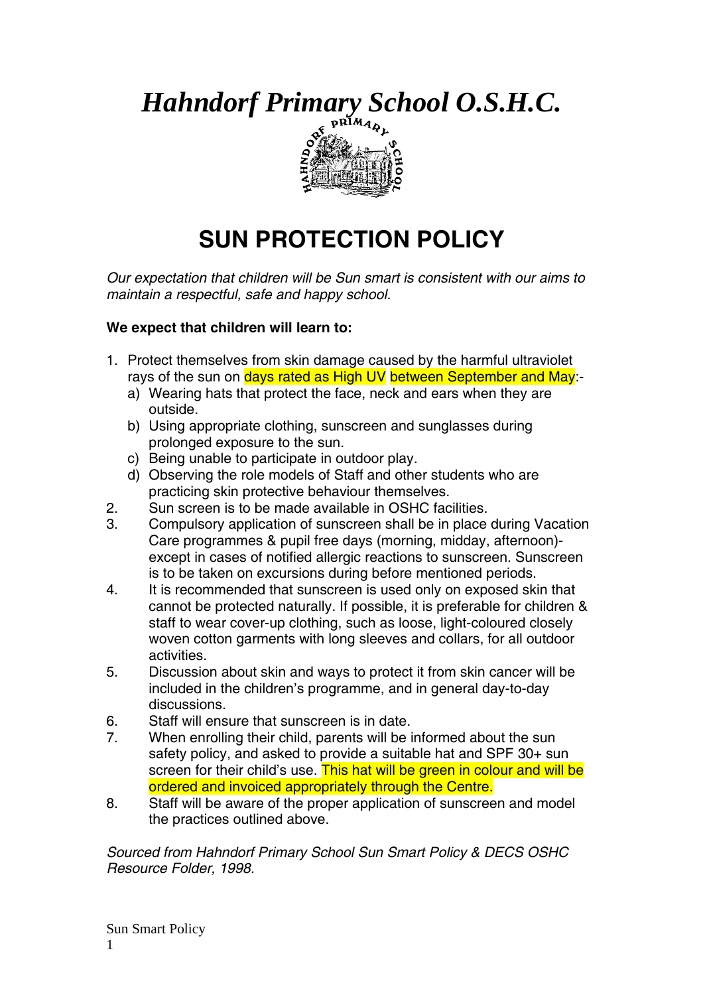*Hahndorf Primary School O.S.H.C.* 



## **SUN PROTECTION POLICY**

*Our expectation that children will be Sun smart is consistent with our aims to maintain a respectful, safe and happy school.* 

## **We expect that children will learn to:**

- 1. Protect themselves from skin damage caused by the harmful ultraviolet rays of the sun on days rated as High UV between September and May:
	- a) Wearing hats that protect the face, neck and ears when they are outside.
	- b) Using appropriate clothing, sunscreen and sunglasses during prolonged exposure to the sun.
	- c) Being unable to participate in outdoor play.
	- d) Observing the role models of Staff and other students who are practicing skin protective behaviour themselves.
- 2. Sun screen is to be made available in OSHC facilities.
- 3. Compulsory application of sunscreen shall be in place during Vacation Care programmes & pupil free days (morning, midday, afternoon) except in cases of notified allergic reactions to sunscreen. Sunscreen is to be taken on excursions during before mentioned periods.
- 4. It is recommended that sunscreen is used only on exposed skin that cannot be protected naturally. If possible, it is preferable for children & staff to wear cover-up clothing, such as loose, light-coloured closely woven cotton garments with long sleeves and collars, for all outdoor activities.
- 5. Discussion about skin and ways to protect it from skin cancer will be included in the children's programme, and in general day-to-day discussions.
- 6. Staff will ensure that sunscreen is in date.
- 7. When enrolling their child, parents will be informed about the sun safety policy, and asked to provide a suitable hat and SPF 30+ sun screen for their child's use. This hat will be green in colour and will be ordered and invoiced appropriately through the Centre.
- 8. Staff will be aware of the proper application of sunscreen and model the practices outlined above.

*Sourced from Hahndorf Primary School Sun Smart Policy & DECS OSHC Resource Folder, 1998.*